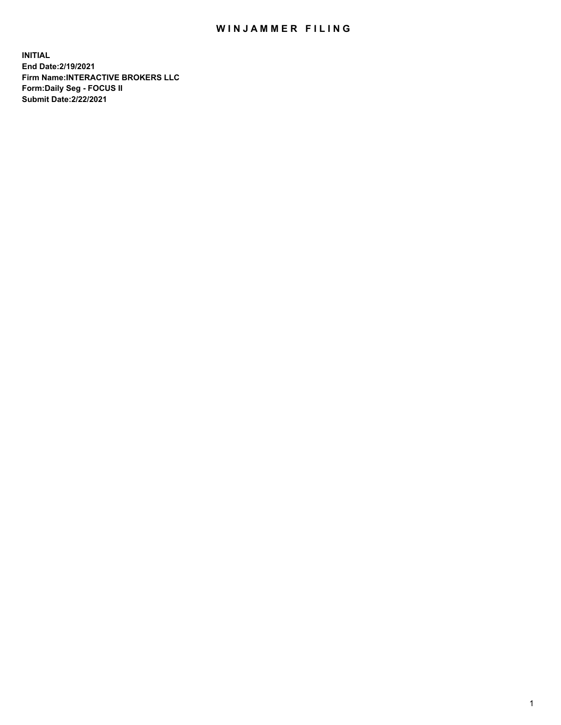## WIN JAMMER FILING

**INITIAL End Date:2/19/2021 Firm Name:INTERACTIVE BROKERS LLC Form:Daily Seg - FOCUS II Submit Date:2/22/2021**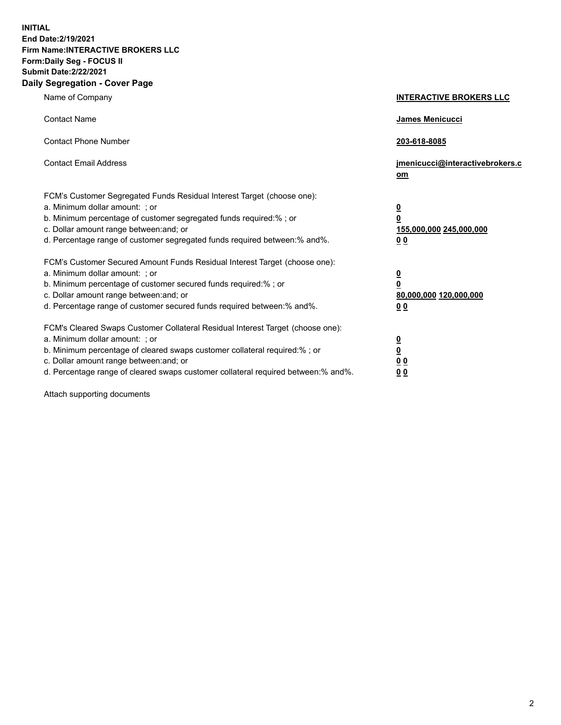**INITIAL End Date:2/19/2021 Firm Name:INTERACTIVE BROKERS LLC Form:Daily Seg - FOCUS II Submit Date:2/22/2021 Daily Segregation - Cover Page**

| Name of Company                                                                                                                                                                                                                                                                                                                | <b>INTERACTIVE BROKERS LLC</b>                                                                  |  |
|--------------------------------------------------------------------------------------------------------------------------------------------------------------------------------------------------------------------------------------------------------------------------------------------------------------------------------|-------------------------------------------------------------------------------------------------|--|
| <b>Contact Name</b>                                                                                                                                                                                                                                                                                                            | James Menicucci                                                                                 |  |
| <b>Contact Phone Number</b>                                                                                                                                                                                                                                                                                                    | 203-618-8085                                                                                    |  |
| <b>Contact Email Address</b>                                                                                                                                                                                                                                                                                                   | jmenicucci@interactivebrokers.c<br><u>om</u>                                                    |  |
| FCM's Customer Segregated Funds Residual Interest Target (choose one):<br>a. Minimum dollar amount: ; or<br>b. Minimum percentage of customer segregated funds required:% ; or<br>c. Dollar amount range between: and; or<br>d. Percentage range of customer segregated funds required between:% and%.                         | $\overline{\mathbf{0}}$<br>$\overline{\mathbf{0}}$<br>155,000,000 245,000,000<br>0 <sub>0</sub> |  |
| FCM's Customer Secured Amount Funds Residual Interest Target (choose one):<br>a. Minimum dollar amount: ; or<br>b. Minimum percentage of customer secured funds required:% ; or<br>c. Dollar amount range between: and; or<br>d. Percentage range of customer secured funds required between:% and%.                           | $\overline{\mathbf{0}}$<br>$\overline{\mathbf{0}}$<br>80,000,000 120,000,000<br>0 <sub>0</sub>  |  |
| FCM's Cleared Swaps Customer Collateral Residual Interest Target (choose one):<br>a. Minimum dollar amount: ; or<br>b. Minimum percentage of cleared swaps customer collateral required:% ; or<br>c. Dollar amount range between: and; or<br>d. Percentage range of cleared swaps customer collateral required between:% and%. | $\overline{\mathbf{0}}$<br>$\overline{\mathbf{0}}$<br>0 <sub>0</sub><br>0 <sub>0</sub>          |  |

Attach supporting documents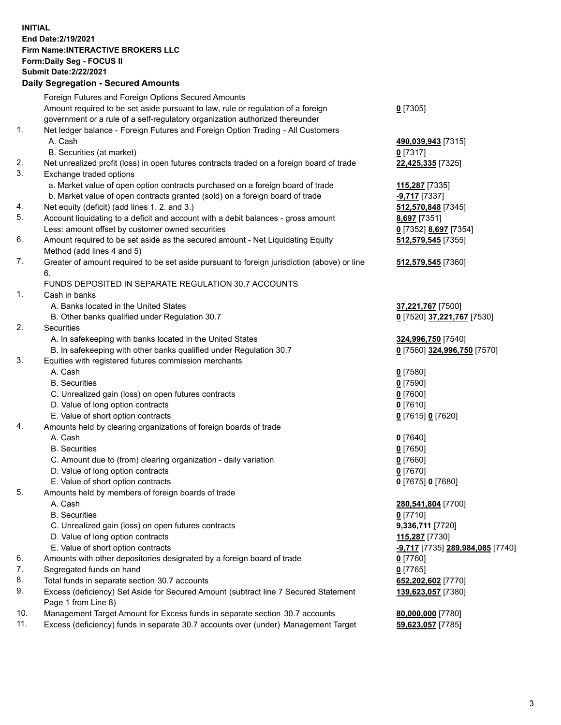**INITIAL End Date:2/19/2021 Firm Name:INTERACTIVE BROKERS LLC Form:Daily Seg - FOCUS II Submit Date:2/22/2021 Daily Segregation - Secured Amounts**

## Foreign Futures and Foreign Options Secured Amounts Amount required to be set aside pursuant to law, rule or regulation of a foreign government or a rule of a self-regulatory organization authorized thereunder **0** [7305] 1. Net ledger balance - Foreign Futures and Foreign Option Trading - All Customers A. Cash **490,039,943** [7315] B. Securities (at market) **0** [7317] 2. Net unrealized profit (loss) in open futures contracts traded on a foreign board of trade **22,425,335** [7325] 3. Exchange traded options a. Market value of open option contracts purchased on a foreign board of trade **115,287** [7335] b. Market value of open contracts granted (sold) on a foreign board of trade **-9,717** [7337] 4. Net equity (deficit) (add lines 1. 2. and 3.) **512,570,848** [7345] 5. Account liquidating to a deficit and account with a debit balances - gross amount **8,697** [7351] Less: amount offset by customer owned securities **0** [7352] **8,697** [7354] 6. Amount required to be set aside as the secured amount - Net Liquidating Equity Method (add lines 4 and 5) **512,579,545** [7355] 7. Greater of amount required to be set aside pursuant to foreign jurisdiction (above) or line 6. **512,579,545** [7360] FUNDS DEPOSITED IN SEPARATE REGULATION 30.7 ACCOUNTS 1. Cash in banks A. Banks located in the United States **37,221,767** [7500] B. Other banks qualified under Regulation 30.7 **0** [7520] **37,221,767** [7530] 2. Securities A. In safekeeping with banks located in the United States **324,996,750** [7540] B. In safekeeping with other banks qualified under Regulation 30.7 **0** [7560] **324,996,750** [7570] 3. Equities with registered futures commission merchants A. Cash **0** [7580] B. Securities **0** [7590] C. Unrealized gain (loss) on open futures contracts **0** [7600] D. Value of long option contracts **0** [7610] E. Value of short option contracts **0** [7615] **0** [7620] 4. Amounts held by clearing organizations of foreign boards of trade A. Cash **0** [7640] B. Securities **0** [7650] C. Amount due to (from) clearing organization - daily variation **0** [7660] D. Value of long option contracts **0** [7670] E. Value of short option contracts **0** [7675] **0** [7680] 5. Amounts held by members of foreign boards of trade A. Cash **280,541,804** [7700] B. Securities **0** [7710] C. Unrealized gain (loss) on open futures contracts **9,336,711** [7720] D. Value of long option contracts **115,287** [7730] E. Value of short option contracts **-9,717** [7735] **289,984,085** [7740] 6. Amounts with other depositories designated by a foreign board of trade **0** [7760] 7. Segregated funds on hand **0** [7765] 8. Total funds in separate section 30.7 accounts **652,202,602** [7770] 9. Excess (deficiency) Set Aside for Secured Amount (subtract line 7 Secured Statement Page 1 from Line 8) **139,623,057** [7380] 10. Management Target Amount for Excess funds in separate section 30.7 accounts **80,000,000** [7780] 11. Excess (deficiency) funds in separate 30.7 accounts over (under) Management Target **59,623,057** [7785]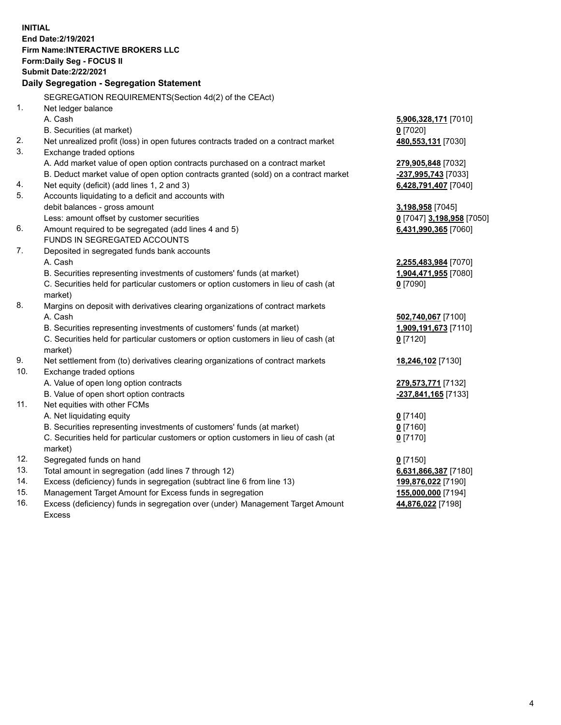**INITIAL End Date:2/19/2021 Firm Name:INTERACTIVE BROKERS LLC Form:Daily Seg - FOCUS II Submit Date:2/22/2021 Daily Segregation - Segregation Statement** SEGREGATION REQUIREMENTS(Section 4d(2) of the CEAct) 1. Net ledger balance A. Cash **5,906,328,171** [7010] B. Securities (at market) **0** [7020] 2. Net unrealized profit (loss) in open futures contracts traded on a contract market **480,553,131** [7030] 3. Exchange traded options A. Add market value of open option contracts purchased on a contract market **279,905,848** [7032] B. Deduct market value of open option contracts granted (sold) on a contract market **-237,995,743** [7033] 4. Net equity (deficit) (add lines 1, 2 and 3) **6,428,791,407** [7040] 5. Accounts liquidating to a deficit and accounts with debit balances - gross amount **3,198,958** [7045] Less: amount offset by customer securities **0** [7047] **3,198,958** [7050] 6. Amount required to be segregated (add lines 4 and 5) **6,431,990,365** [7060] FUNDS IN SEGREGATED ACCOUNTS 7. Deposited in segregated funds bank accounts A. Cash **2,255,483,984** [7070] B. Securities representing investments of customers' funds (at market) **1,904,471,955** [7080] C. Securities held for particular customers or option customers in lieu of cash (at market) **0** [7090] 8. Margins on deposit with derivatives clearing organizations of contract markets A. Cash **502,740,067** [7100] B. Securities representing investments of customers' funds (at market) **1,909,191,673** [7110] C. Securities held for particular customers or option customers in lieu of cash (at market) **0** [7120] 9. Net settlement from (to) derivatives clearing organizations of contract markets **18,246,102** [7130] 10. Exchange traded options A. Value of open long option contracts **279,573,771** [7132] B. Value of open short option contracts **-237,841,165** [7133] 11. Net equities with other FCMs A. Net liquidating equity **0** [7140] B. Securities representing investments of customers' funds (at market) **0** [7160] C. Securities held for particular customers or option customers in lieu of cash (at market) **0** [7170] 12. Segregated funds on hand **0** [7150] 13. Total amount in segregation (add lines 7 through 12) **6,631,866,387** [7180] 14. Excess (deficiency) funds in segregation (subtract line 6 from line 13) **199,876,022** [7190] 15. Management Target Amount for Excess funds in segregation **155,000,000** [7194] 16. Excess (deficiency) funds in segregation over (under) Management Target Amount **44,876,022** [7198]

Excess